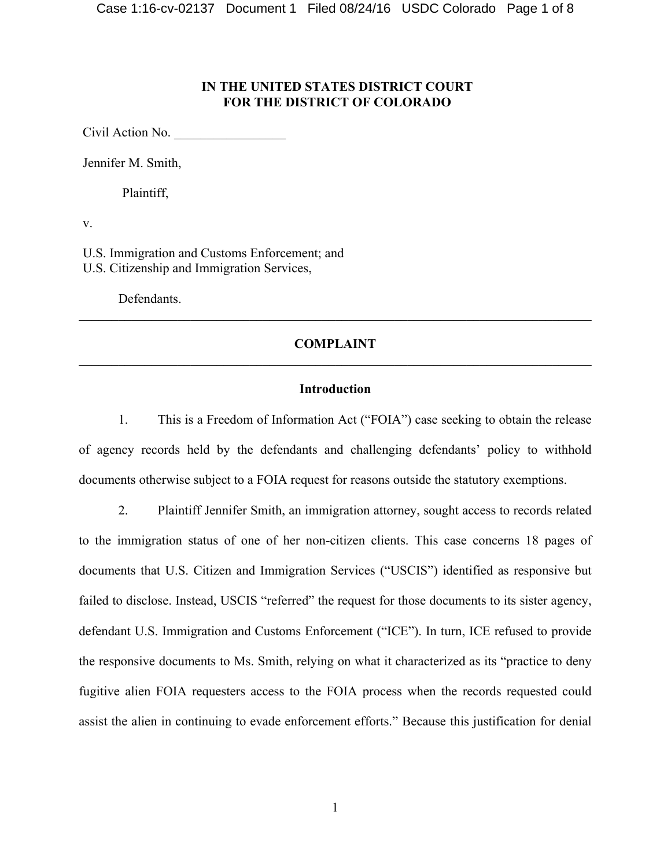# **IN THE UNITED STATES DISTRICT COURT FOR THE DISTRICT OF COLORADO**

Civil Action No.

Jennifer M. Smith,

Plaintiff,

v.

U.S. Immigration and Customs Enforcement; and U.S. Citizenship and Immigration Services,

Defendants.

# **COMPLAINT**  $\mathcal{L}_\mathcal{L} = \{ \mathcal{L}_\mathcal{L} = \{ \mathcal{L}_\mathcal{L} = \{ \mathcal{L}_\mathcal{L} = \{ \mathcal{L}_\mathcal{L} = \{ \mathcal{L}_\mathcal{L} = \{ \mathcal{L}_\mathcal{L} = \{ \mathcal{L}_\mathcal{L} = \{ \mathcal{L}_\mathcal{L} = \{ \mathcal{L}_\mathcal{L} = \{ \mathcal{L}_\mathcal{L} = \{ \mathcal{L}_\mathcal{L} = \{ \mathcal{L}_\mathcal{L} = \{ \mathcal{L}_\mathcal{L} = \{ \mathcal{L}_\mathcal{$

 $\mathcal{L}_\mathcal{L} = \{ \mathcal{L}_\mathcal{L} = \{ \mathcal{L}_\mathcal{L} = \{ \mathcal{L}_\mathcal{L} = \{ \mathcal{L}_\mathcal{L} = \{ \mathcal{L}_\mathcal{L} = \{ \mathcal{L}_\mathcal{L} = \{ \mathcal{L}_\mathcal{L} = \{ \mathcal{L}_\mathcal{L} = \{ \mathcal{L}_\mathcal{L} = \{ \mathcal{L}_\mathcal{L} = \{ \mathcal{L}_\mathcal{L} = \{ \mathcal{L}_\mathcal{L} = \{ \mathcal{L}_\mathcal{L} = \{ \mathcal{L}_\mathcal{$ 

### **Introduction**

1. This is a Freedom of Information Act ("FOIA") case seeking to obtain the release of agency records held by the defendants and challenging defendants' policy to withhold documents otherwise subject to a FOIA request for reasons outside the statutory exemptions.

2. Plaintiff Jennifer Smith, an immigration attorney, sought access to records related to the immigration status of one of her non-citizen clients. This case concerns 18 pages of documents that U.S. Citizen and Immigration Services ("USCIS") identified as responsive but failed to disclose. Instead, USCIS "referred" the request for those documents to its sister agency, defendant U.S. Immigration and Customs Enforcement ("ICE"). In turn, ICE refused to provide the responsive documents to Ms. Smith, relying on what it characterized as its "practice to deny fugitive alien FOIA requesters access to the FOIA process when the records requested could assist the alien in continuing to evade enforcement efforts." Because this justification for denial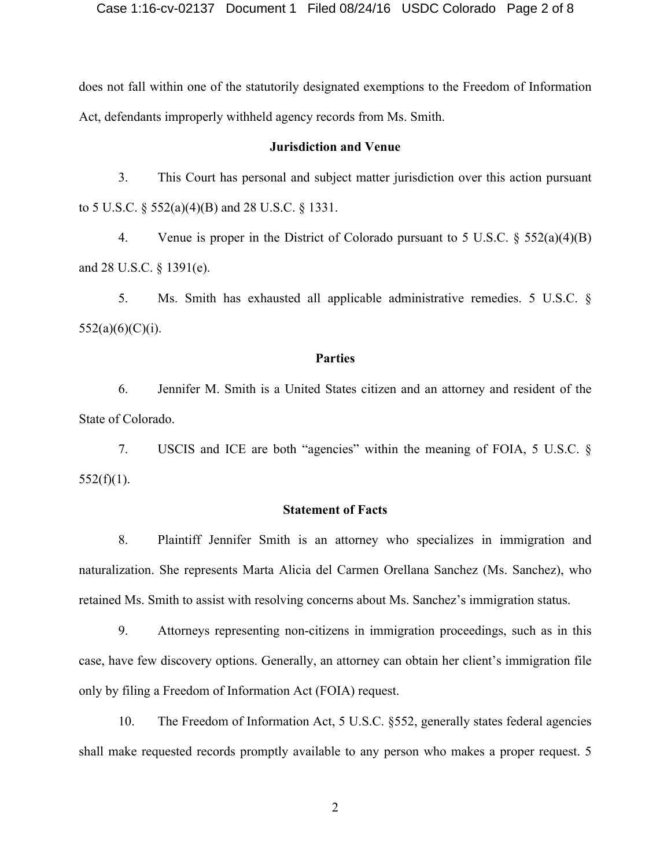does not fall within one of the statutorily designated exemptions to the Freedom of Information Act, defendants improperly withheld agency records from Ms. Smith.

#### **Jurisdiction and Venue**

3. This Court has personal and subject matter jurisdiction over this action pursuant to 5 U.S.C. § 552(a)(4)(B) and 28 U.S.C. § 1331.

4. Venue is proper in the District of Colorado pursuant to 5 U.S.C. § 552(a)(4)(B) and 28 U.S.C. § 1391(e).

5. Ms. Smith has exhausted all applicable administrative remedies. 5 U.S.C. §  $552(a)(6)(C)(i)$ .

#### **Parties**

6. Jennifer M. Smith is a United States citizen and an attorney and resident of the State of Colorado.

7. USCIS and ICE are both "agencies" within the meaning of FOIA, 5 U.S.C. §  $552(f)(1)$ .

#### **Statement of Facts**

8. Plaintiff Jennifer Smith is an attorney who specializes in immigration and naturalization. She represents Marta Alicia del Carmen Orellana Sanchez (Ms. Sanchez), who retained Ms. Smith to assist with resolving concerns about Ms. Sanchez's immigration status.

9. Attorneys representing non-citizens in immigration proceedings, such as in this case, have few discovery options. Generally, an attorney can obtain her client's immigration file only by filing a Freedom of Information Act (FOIA) request.

10. The Freedom of Information Act, 5 U.S.C. §552, generally states federal agencies shall make requested records promptly available to any person who makes a proper request. 5

2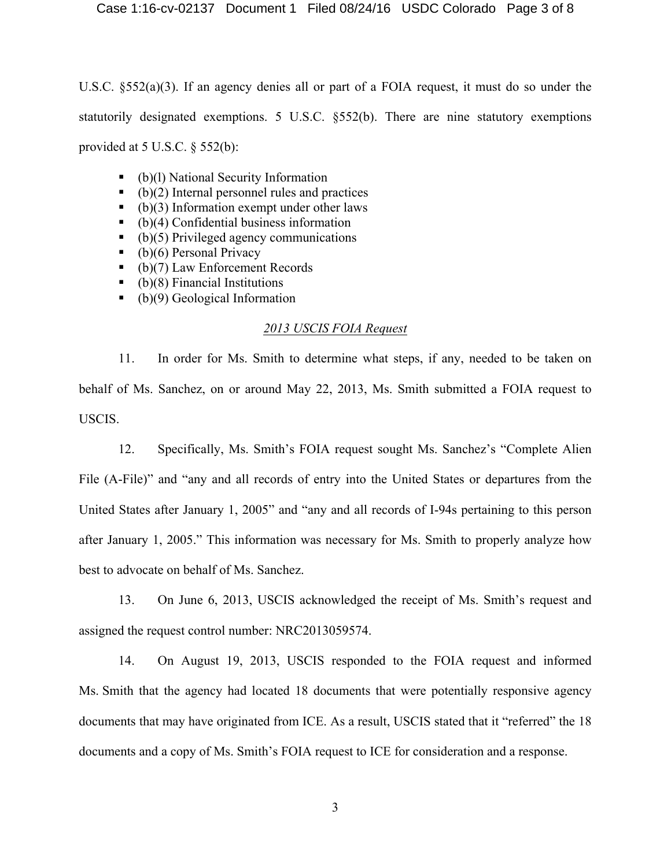U.S.C. §552(a)(3). If an agency denies all or part of a FOIA request, it must do so under the statutorily designated exemptions. 5 U.S.C. §552(b). There are nine statutory exemptions provided at  $5 \text{ U.S.C. }$   $§$   $552(b)$ :

- (b)(l) National Security Information
- $\bullet$  (b)(2) Internal personnel rules and practices
- $\bullet$  (b)(3) Information exempt under other laws
- $\bullet$  (b)(4) Confidential business information
- $\bullet$  (b)(5) Privileged agency communications
- $\bullet$  (b)(6) Personal Privacy
- (b)(7) Law Enforcement Records
- $\bullet$  (b)(8) Financial Institutions
- (b)(9) Geological Information

# *2013 USCIS FOIA Request*

11. In order for Ms. Smith to determine what steps, if any, needed to be taken on behalf of Ms. Sanchez, on or around May 22, 2013, Ms. Smith submitted a FOIA request to USCIS.

12. Specifically, Ms. Smith's FOIA request sought Ms. Sanchez's "Complete Alien File (A-File)" and "any and all records of entry into the United States or departures from the United States after January 1, 2005" and "any and all records of I-94s pertaining to this person after January 1, 2005." This information was necessary for Ms. Smith to properly analyze how best to advocate on behalf of Ms. Sanchez.

13. On June 6, 2013, USCIS acknowledged the receipt of Ms. Smith's request and assigned the request control number: NRC2013059574.

14. On August 19, 2013, USCIS responded to the FOIA request and informed Ms. Smith that the agency had located 18 documents that were potentially responsive agency documents that may have originated from ICE. As a result, USCIS stated that it "referred" the 18 documents and a copy of Ms. Smith's FOIA request to ICE for consideration and a response.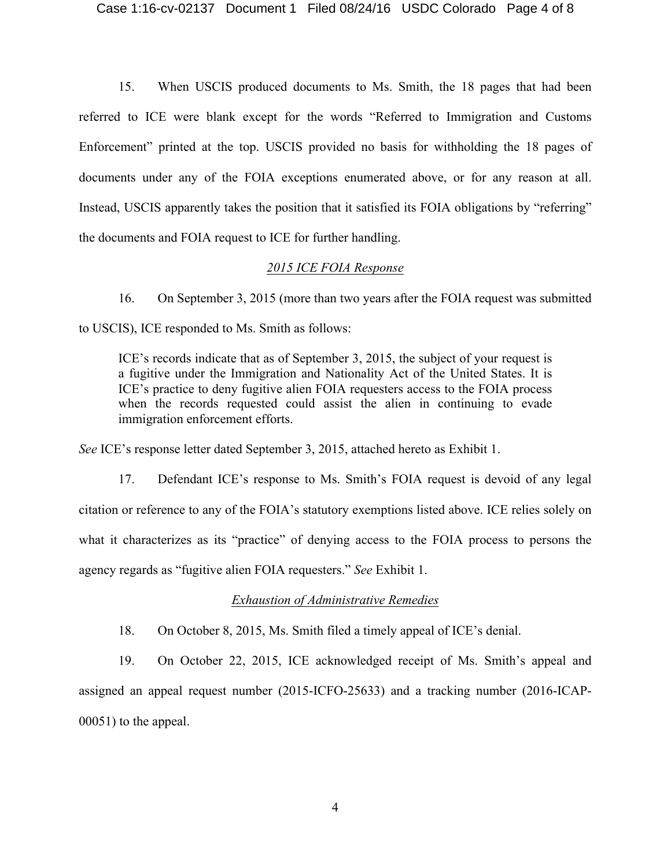15. When USCIS produced documents to Ms. Smith, the 18 pages that had been referred to ICE were blank except for the words "Referred to Immigration and Customs Enforcement" printed at the top. USCIS provided no basis for withholding the 18 pages of documents under any of the FOIA exceptions enumerated above, or for any reason at all. Instead, USCIS apparently takes the position that it satisfied its FOIA obligations by "referring" the documents and FOIA request to ICE for further handling.

### *2015 ICE FOIA Response*

16. On September 3, 2015 (more than two years after the FOIA request was submitted to USCIS), ICE responded to Ms. Smith as follows:

ICE's records indicate that as of September 3, 2015, the subject of your request is a fugitive under the Immigration and Nationality Act of the United States. It is ICE's practice to deny fugitive alien FOIA requesters access to the FOIA process when the records requested could assist the alien in continuing to evade immigration enforcement efforts.

*See* ICE's response letter dated September 3, 2015, attached hereto as Exhibit 1.

17. Defendant ICE's response to Ms. Smith's FOIA request is devoid of any legal citation or reference to any of the FOIA's statutory exemptions listed above. ICE relies solely on what it characterizes as its "practice" of denying access to the FOIA process to persons the agency regards as "fugitive alien FOIA requesters." *See* Exhibit 1.

# *Exhaustion of Administrative Remedies*

18. On October 8, 2015, Ms. Smith filed a timely appeal of ICE's denial.

19. On October 22, 2015, ICE acknowledged receipt of Ms. Smith's appeal and assigned an appeal request number (2015-ICFO-25633) and a tracking number (2016-ICAP-00051) to the appeal.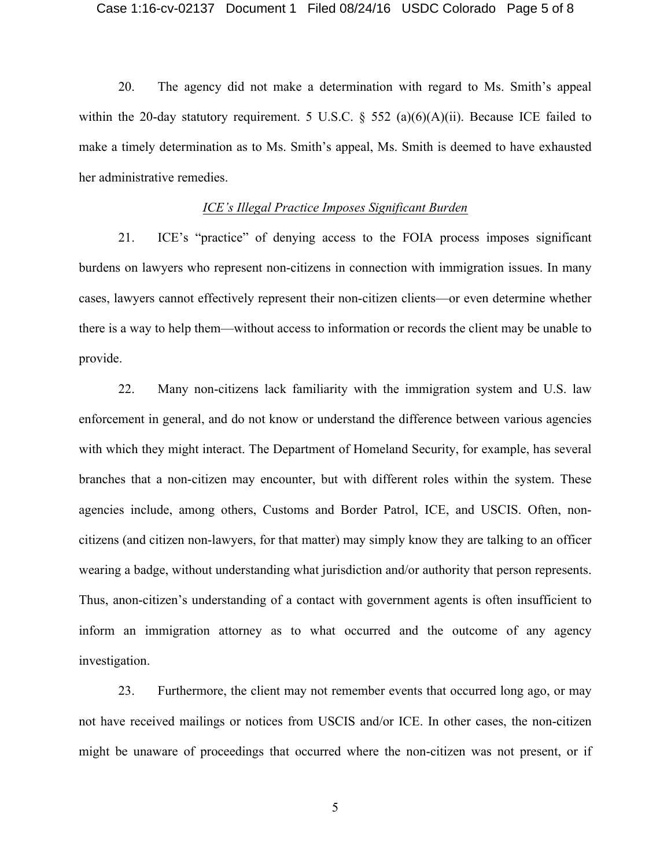20. The agency did not make a determination with regard to Ms. Smith's appeal within the 20-day statutory requirement. 5 U.S.C.  $\S$  552 (a)(6)(A)(ii). Because ICE failed to make a timely determination as to Ms. Smith's appeal, Ms. Smith is deemed to have exhausted her administrative remedies.

## *ICE's Illegal Practice Imposes Significant Burden*

21. ICE's "practice" of denying access to the FOIA process imposes significant burdens on lawyers who represent non-citizens in connection with immigration issues. In many cases, lawyers cannot effectively represent their non-citizen clients—or even determine whether there is a way to help them—without access to information or records the client may be unable to provide.

22. Many non-citizens lack familiarity with the immigration system and U.S. law enforcement in general, and do not know or understand the difference between various agencies with which they might interact. The Department of Homeland Security, for example, has several branches that a non-citizen may encounter, but with different roles within the system. These agencies include, among others, Customs and Border Patrol, ICE, and USCIS. Often, noncitizens (and citizen non-lawyers, for that matter) may simply know they are talking to an officer wearing a badge, without understanding what jurisdiction and/or authority that person represents. Thus, anon-citizen's understanding of a contact with government agents is often insufficient to inform an immigration attorney as to what occurred and the outcome of any agency investigation.

23. Furthermore, the client may not remember events that occurred long ago, or may not have received mailings or notices from USCIS and/or ICE. In other cases, the non-citizen might be unaware of proceedings that occurred where the non-citizen was not present, or if

5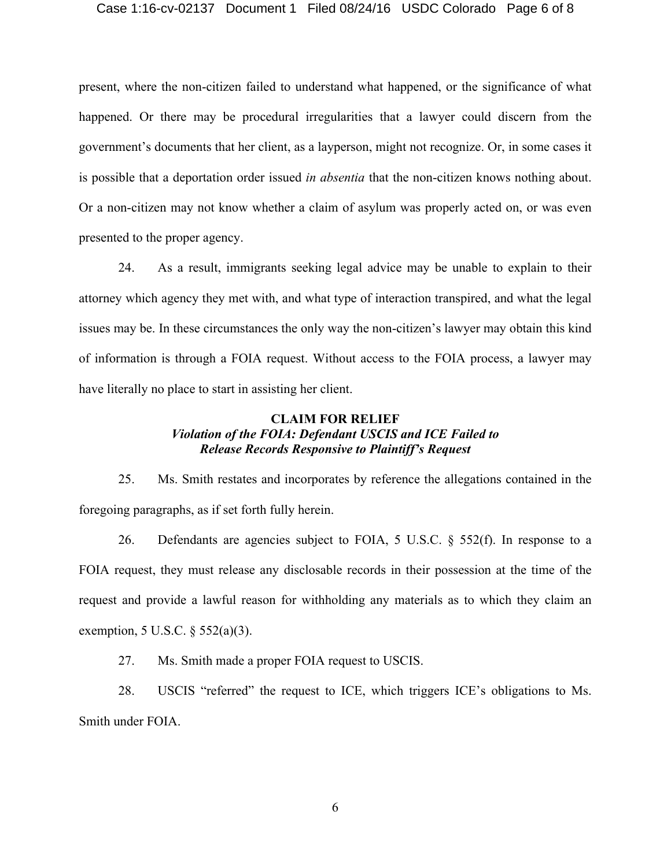#### Case 1:16-cv-02137 Document 1 Filed 08/24/16 USDC Colorado Page 6 of 8

present, where the non-citizen failed to understand what happened, or the significance of what happened. Or there may be procedural irregularities that a lawyer could discern from the government's documents that her client, as a layperson, might not recognize. Or, in some cases it is possible that a deportation order issued *in absentia* that the non-citizen knows nothing about. Or a non-citizen may not know whether a claim of asylum was properly acted on, or was even presented to the proper agency.

24. As a result, immigrants seeking legal advice may be unable to explain to their attorney which agency they met with, and what type of interaction transpired, and what the legal issues may be. In these circumstances the only way the non-citizen's lawyer may obtain this kind of information is through a FOIA request. Without access to the FOIA process, a lawyer may have literally no place to start in assisting her client.

## **CLAIM FOR RELIEF** *Violation of the FOIA: Defendant USCIS and ICE Failed to Release Records Responsive to Plaintiff's Request*

25. Ms. Smith restates and incorporates by reference the allegations contained in the foregoing paragraphs, as if set forth fully herein.

26. Defendants are agencies subject to FOIA, 5 U.S.C.  $\S$  552(f). In response to a FOIA request, they must release any disclosable records in their possession at the time of the request and provide a lawful reason for withholding any materials as to which they claim an exemption, 5 U.S.C. § 552(a)(3).

27. Ms. Smith made a proper FOIA request to USCIS.

28. USCIS "referred" the request to ICE, which triggers ICE's obligations to Ms. Smith under FOIA.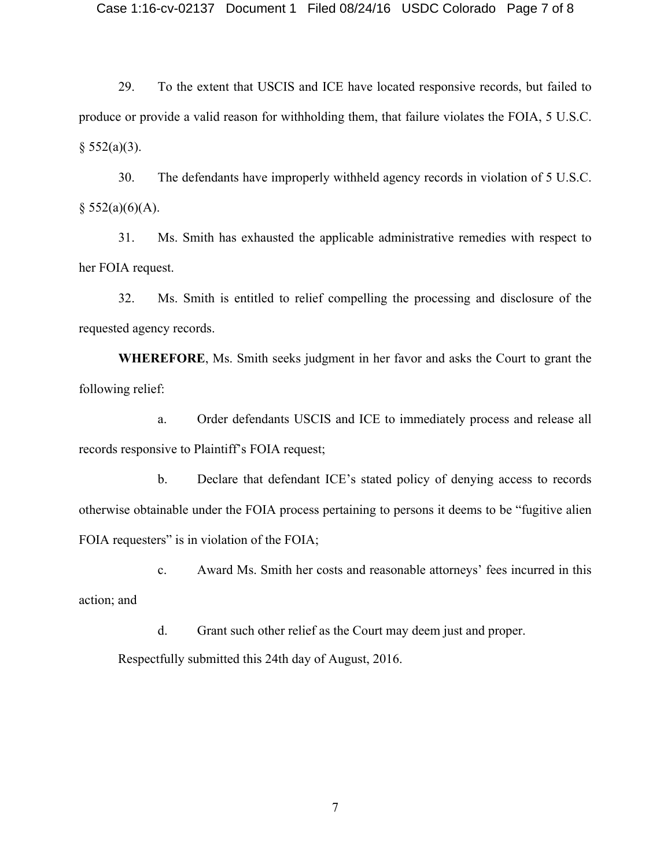29. To the extent that USCIS and ICE have located responsive records, but failed to produce or provide a valid reason for withholding them, that failure violates the FOIA, 5 U.S.C.  $§ 552(a)(3).$ 

30. The defendants have improperly withheld agency records in violation of 5 U.S.C.  $§$  552(a)(6)(A).

31. Ms. Smith has exhausted the applicable administrative remedies with respect to her FOIA request.

32. Ms. Smith is entitled to relief compelling the processing and disclosure of the requested agency records.

**WHEREFORE**, Ms. Smith seeks judgment in her favor and asks the Court to grant the following relief:

a. Order defendants USCIS and ICE to immediately process and release all records responsive to Plaintiff's FOIA request;

b. Declare that defendant ICE's stated policy of denying access to records otherwise obtainable under the FOIA process pertaining to persons it deems to be "fugitive alien FOIA requesters" is in violation of the FOIA;

c. Award Ms. Smith her costs and reasonable attorneys' fees incurred in this action; and

d. Grant such other relief as the Court may deem just and proper.

Respectfully submitted this 24th day of August, 2016.

7